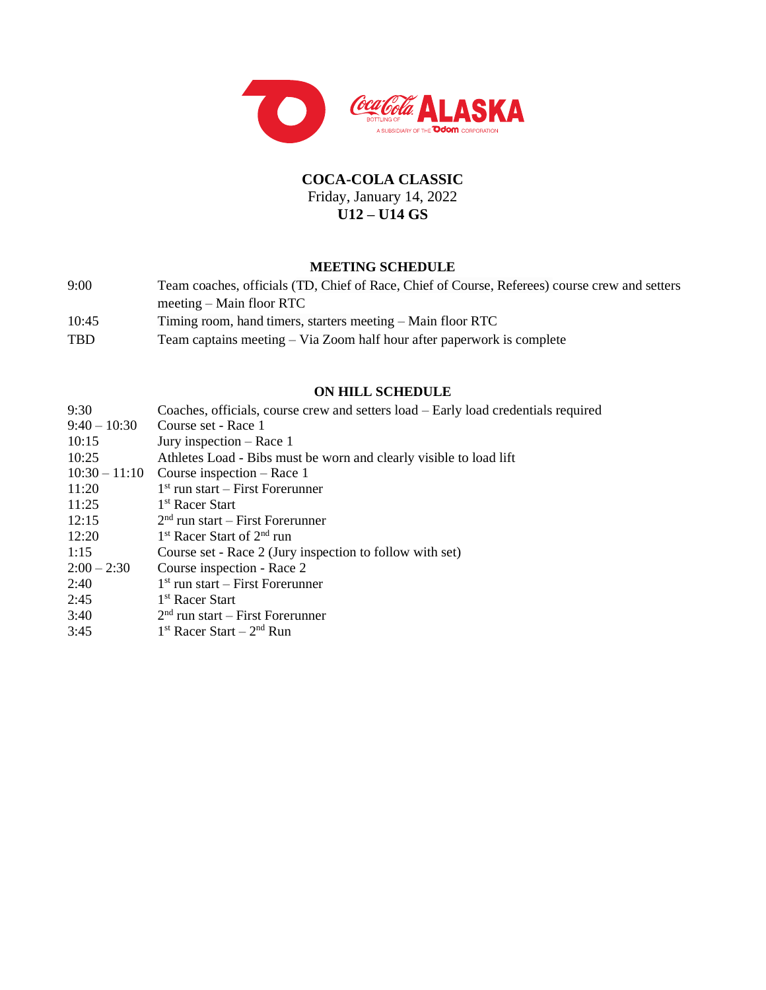

# **COCA-COLA CLASSIC** Friday, January 14, 2022 **U12 – U14 GS**

#### **MEETING SCHEDULE**

- 9:00 Team coaches, officials (TD, Chief of Race, Chief of Course, Referees) course crew and setters meeting – Main floor RTC 10:45 Timing room, hand timers, starters meeting – Main floor RTC
- TBD Team captains meeting Via Zoom half hour after paperwork is complete

# **ON HILL SCHEDULE**

| 9:30            | Coaches, officials, course crew and setters load – Early load credentials required |
|-----------------|------------------------------------------------------------------------------------|
| $9:40 - 10:30$  | Course set - Race 1                                                                |
| 10:15           | Jury inspection $-$ Race 1                                                         |
| 10:25           | Athletes Load - Bibs must be worn and clearly visible to load lift                 |
| $10:30 - 11:10$ | Course inspection $-$ Race 1                                                       |
| 11:20           | $1st$ run start – First Forerunner                                                 |
| 11:25           | 1 <sup>st</sup> Racer Start                                                        |
| 12:15           | $2nd$ run start – First Forerunner                                                 |
| 12:20           | $1st$ Racer Start of $2nd$ run                                                     |
| 1:15            | Course set - Race 2 (Jury inspection to follow with set)                           |
| $2:00 - 2:30$   | Course inspection - Race 2                                                         |
| 2:40            | $1st$ run start – First Forerunner                                                 |
| 2:45            | 1 <sup>st</sup> Racer Start                                                        |
| 3:40            | $2nd$ run start – First Forerunner                                                 |
| 3:45            | $1st$ Racer Start – $2nd$ Run                                                      |
|                 |                                                                                    |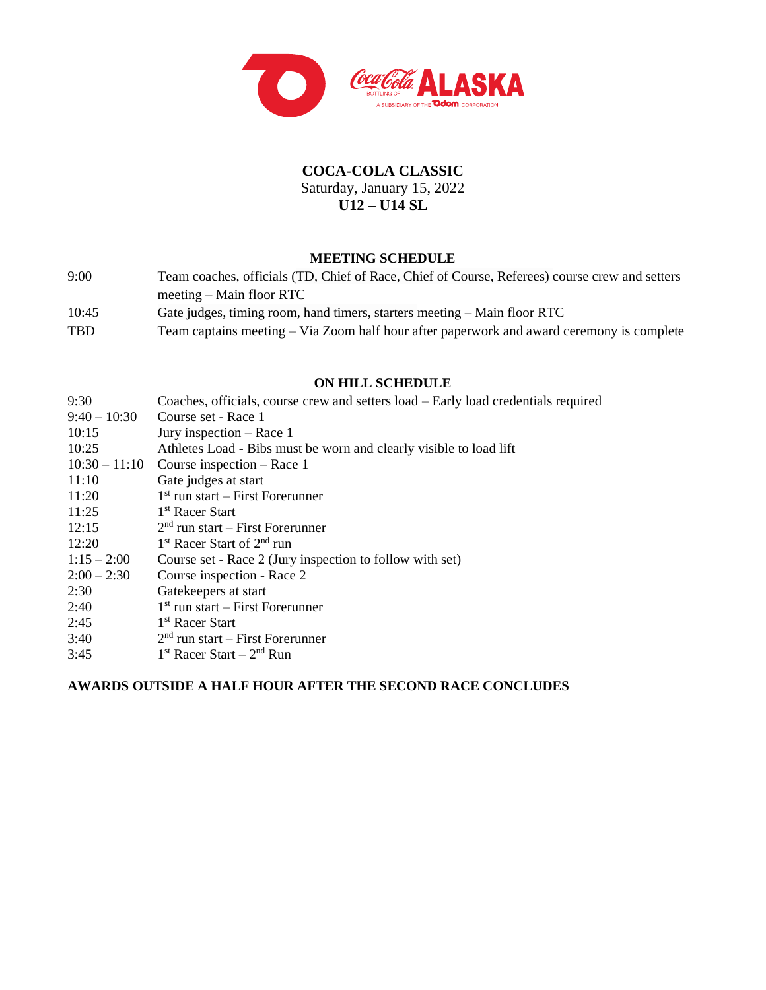

# **COCA-COLA CLASSIC** Saturday, January 15, 2022 **U12 – U14 SL**

## **MEETING SCHEDULE**

| 9:00  | Team coaches, officials (TD, Chief of Race, Chief of Course, Referees) course crew and setters |
|-------|------------------------------------------------------------------------------------------------|
|       | $meeting - Main floor RTC$                                                                     |
| 10:45 | Gate judges, timing room, hand timers, starters meeting – Main floor RTC                       |
| TBD   | Team captains meeting – Via Zoom half hour after paperwork and award ceremony is complete      |

### **ON HILL SCHEDULE**

| 9:30            | Coaches, officials, course crew and setters load – Early load credentials required |
|-----------------|------------------------------------------------------------------------------------|
| $9:40 - 10:30$  | Course set - Race 1                                                                |
| 10:15           | Jury inspection $-$ Race 1                                                         |
| 10:25           | Athletes Load - Bibs must be worn and clearly visible to load lift                 |
| $10:30 - 11:10$ | Course inspection $-$ Race 1                                                       |
| 11:10           | Gate judges at start                                                               |
| 11:20           | $1st$ run start – First Forerunner                                                 |
| 11:25           | 1 <sup>st</sup> Racer Start                                                        |
| 12:15           | $2nd$ run start – First Forerunner                                                 |
| 12:20           | 1 <sup>st</sup> Racer Start of 2 <sup>nd</sup> run                                 |
| $1:15 - 2:00$   | Course set - Race 2 (Jury inspection to follow with set)                           |
| $2:00 - 2:30$   | Course inspection - Race 2                                                         |
| 2:30            | Gatekeepers at start                                                               |
| 2:40            | $1st$ run start – First Forerunner                                                 |
| 2:45            | 1 <sup>st</sup> Racer Start                                                        |
| 3:40            | $2nd$ run start – First Forerunner                                                 |
| 3:45            | $1st$ Racer Start – $2nd$ Run                                                      |
|                 |                                                                                    |

## **AWARDS OUTSIDE A HALF HOUR AFTER THE SECOND RACE CONCLUDES**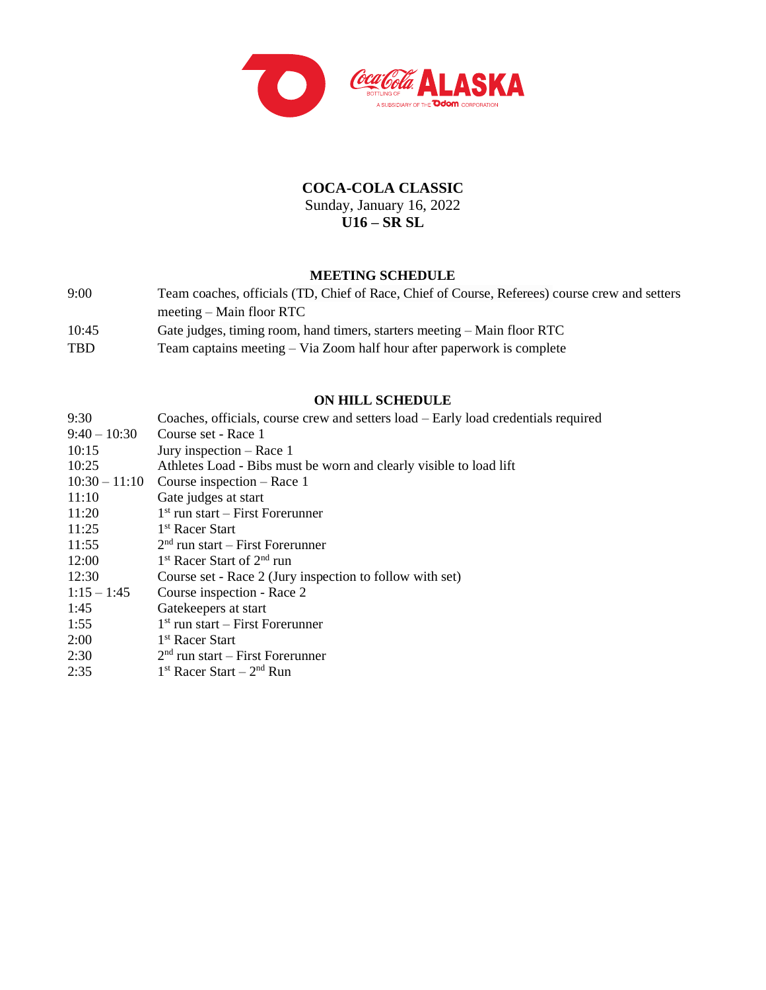

# **COCA-COLA CLASSIC** Sunday, January 16, 2022 **U16 – SR SL**

### **MEETING SCHEDULE**

9:00 Team coaches, officials (TD, Chief of Race, Chief of Course, Referees) course crew and setters meeting – Main floor RTC 10:45 Gate judges, timing room, hand timers, starters meeting – Main floor RTC TBD Team captains meeting – Via Zoom half hour after paperwork is complete

#### **ON HILL SCHEDULE**

| 9:30            | Coaches, officials, course crew and setters load – Early load credentials required |
|-----------------|------------------------------------------------------------------------------------|
| $9:40 - 10:30$  | Course set - Race 1                                                                |
| 10:15           | Jury inspection $-$ Race 1                                                         |
| 10:25           | Athletes Load - Bibs must be worn and clearly visible to load lift                 |
| $10:30 - 11:10$ | Course inspection $-$ Race 1                                                       |
| 11:10           | Gate judges at start                                                               |
| 11:20           | $1st$ run start – First Forerunner                                                 |
| 11:25           | 1 <sup>st</sup> Racer Start                                                        |
| 11:55           | $2nd$ run start – First Forerunner                                                 |
| 12:00           | $1st$ Racer Start of $2nd$ run                                                     |
| 12:30           | Course set - Race 2 (Jury inspection to follow with set)                           |
| $1:15 - 1:45$   | Course inspection - Race 2                                                         |
| 1:45            | Gatekeepers at start                                                               |
| 1:55            | $1st$ run start – First Forerunner                                                 |
| 2:00            | 1 <sup>st</sup> Racer Start                                                        |
| 2:30            | $2nd$ run start – First Forerunner                                                 |
| 2:35            | $1st$ Racer Start – $2nd$ Run                                                      |
|                 |                                                                                    |